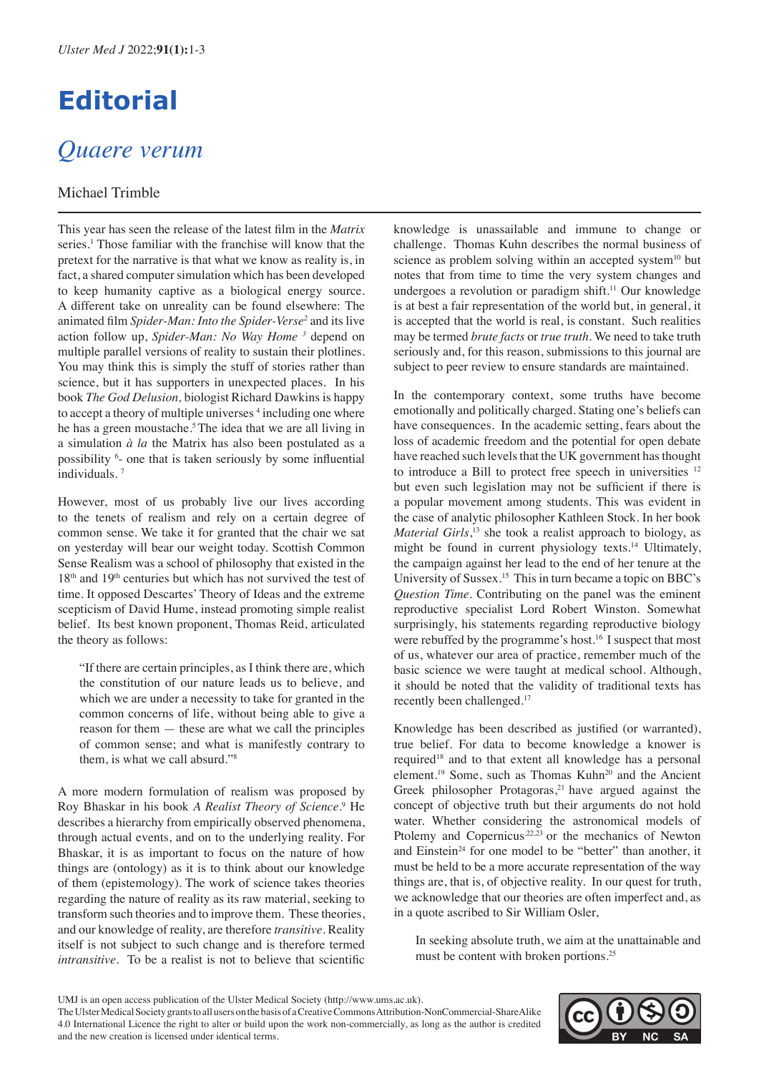# **Editorial**

## *Quaere verum*

### Michael Trimble

This year has seen the release of the latest film in the *Matrix*  series.<sup>1</sup> Those familiar with the franchise will know that the pretext for the narrative is that what we know as reality is, in fact, a shared computer simulation which has been developed to keep humanity captive as a biological energy source. A different take on unreality can be found elsewhere: The animated film *Spider-Man: Into the Spider-Verse2* and its live action follow up, *Spider-Man: No Way Home 3* depend on multiple parallel versions of reality to sustain their plotlines. You may think this is simply the stuff of stories rather than science, but it has supporters in unexpected places. In his book *The God Delusion,* biologist Richard Dawkins is happy to accept a theory of multiple universes <sup>4</sup> including one where he has a green moustache.<sup>5</sup>The idea that we are all living in a simulation *à la* the Matrix has also been postulated as a possibility <sup>6</sup> - one that is taken seriously by some influential individuals. <sup>7</sup>

However, most of us probably live our lives according to the tenets of realism and rely on a certain degree of common sense. We take it for granted that the chair we sat on yesterday will bear our weight today. Scottish Common Sense Realism was a school of philosophy that existed in the 18<sup>th</sup> and 19<sup>th</sup> centuries but which has not survived the test of time. It opposed Descartes' Theory of Ideas and the extreme scepticism of David Hume, instead promoting simple realist belief. Its best known proponent, Thomas Reid, articulated the theory as follows:

"If there are certain principles, as I think there are, which the constitution of our nature leads us to believe, and which we are under a necessity to take for granted in the common concerns of life, without being able to give a reason for them — these are what we call the principles of common sense; and what is manifestly contrary to them, is what we call absurd."<sup>8</sup>

A more modern formulation of realism was proposed by Roy Bhaskar in his book A Realist Theory of Science.<sup>9</sup> He describes a hierarchy from empirically observed phenomena, through actual events, and on to the underlying reality. For Bhaskar, it is as important to focus on the nature of how things are (ontology) as it is to think about our knowledge of them (epistemology). The work of science takes theories regarding the nature of reality as its raw material, seeking to transform such theories and to improve them. These theories, and our knowledge of reality, are therefore *transitive*. Reality itself is not subject to such change and is therefore termed *intransitive.* To be a realist is not to believe that scientific

knowledge is unassailable and immune to change or challenge. Thomas Kuhn describes the normal business of science as problem solving within an accepted system<sup>10</sup> but notes that from time to time the very system changes and undergoes a revolution or paradigm shift.<sup>11</sup> Our knowledge is at best a fair representation of the world but, in general, it is accepted that the world is real, is constant. Such realities may be termed *brute facts* or *true truth*. We need to take truth seriously and, for this reason, submissions to this journal are subject to peer review to ensure standards are maintained.

In the contemporary context, some truths have become emotionally and politically charged. Stating one's beliefs can have consequences. In the academic setting, fears about the loss of academic freedom and the potential for open debate have reached such levels that the UK government has thought to introduce a Bill to protect free speech in universities <sup>12</sup> but even such legislation may not be sufficient if there is a popular movement among students. This was evident in the case of analytic philosopher Kathleen Stock. In her book *Material Girls*,<sup>13</sup> she took a realist approach to biology, as might be found in current physiology texts.<sup>14</sup> Ultimately, the campaign against her lead to the end of her tenure at the University of Sussex.<sup>15</sup> This in turn became a topic on BBC's *Question Time*. Contributing on the panel was the eminent reproductive specialist Lord Robert Winston. Somewhat surprisingly, his statements regarding reproductive biology were rebuffed by the programme's host.<sup>16</sup> I suspect that most of us, whatever our area of practice, remember much of the basic science we were taught at medical school. Although, it should be noted that the validity of traditional texts has recently been challenged.<sup>17</sup>

Knowledge has been described as justified (or warranted), true belief. For data to become knowledge a knower is required<sup>18</sup> and to that extent all knowledge has a personal element.<sup>19</sup> Some, such as Thomas Kuhn<sup>20</sup> and the Ancient Greek philosopher Protagoras, $2<sup>1</sup>$  have argued against the concept of objective truth but their arguments do not hold water. Whether considering the astronomical models of Ptolemy and Copernicus<sup>22,23</sup> or the mechanics of Newton and Einstein<sup>24</sup> for one model to be "better" than another, it must be held to be a more accurate representation of the way things are, that is, of objective reality. In our quest for truth, we acknowledge that our theories are often imperfect and, as in a quote ascribed to Sir William Osler,

In seeking absolute truth, we aim at the unattainable and must be content with broken portions.25

The Ulster Medical Society grants to all users on the basis of a Creative Commons Attribution-NonCommercial-ShareAlike 4.0 International Licence the right to alter or build upon the work non-commercially, as long as the author is credited and the new creation is licensed under identical terms.



UMJ is an open access publication of the Ulster Medical Society (http://www.ums.ac.uk).